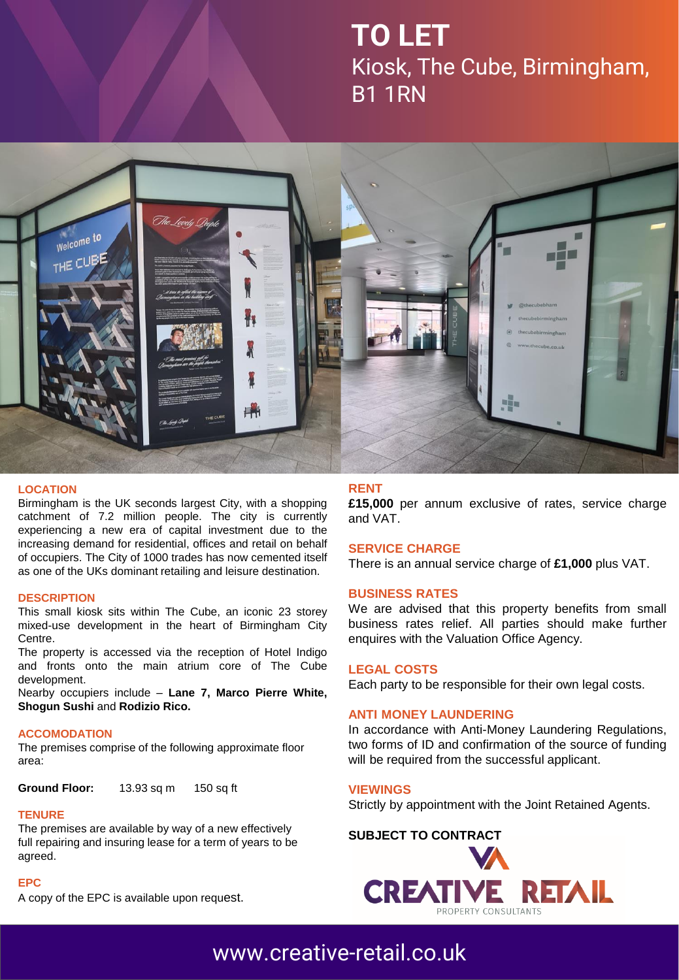# **TO LET** Kiosk, The Cube, Birmingham, B1 1RN



#### **LOCATION**

Birmingham is the UK seconds largest City, with a shopping catchment of 7.2 million people. The city is currently experiencing a new era of capital investment due to the increasing demand for residential, offices and retail on behalf of occupiers. The City of 1000 trades has now cemented itself as one of the UKs dominant retailing and leisure destination.

#### **DESCRIPTION**

This small kiosk sits within The Cube, an iconic 23 storey mixed-use development in the heart of Birmingham City Centre.

The property is accessed via the reception of Hotel Indigo and fronts onto the main atrium core of The Cube development.

Nearby occupiers include – **Lane 7, Marco Pierre White, Shogun Sushi** and **Rodizio Rico.**

#### **ACCOMODATION**

The premises comprise of the following approximate floor area:

**Ground Floor:** 13.93 sq m 150 sq ft

#### **TENURE**

The premises are available by way of a new effectively full repairing and insuring lease for a term of years to be agreed.

#### **EPC**

A copy of the EPC is available upon request.

#### **RENT**

**£15,000** per annum exclusive of rates, service charge and VAT.

#### **SERVICE CHARGE**

There is an annual service charge of **£1,000** plus VAT.

#### **BUSINESS RATES**

We are advised that this property benefits from small business rates relief. All parties should make further enquires with the Valuation Office Agency.

#### **LEGAL COSTS**

Each party to be responsible for their own legal costs.

#### **ANTI MONEY LAUNDERING**

In accordance with Anti-Money Laundering Regulations, two forms of ID and confirmation of the source of funding will be required from the successful applicant.

**VIEWINGS**

Strictly by appointment with the Joint Retained Agents.

**SUBJECT TO [CONTRACT](http://www.creative-retail.co.uk/)**



### [www.creative-retail.co.uk](http://www.creative-retail.co.uk/)